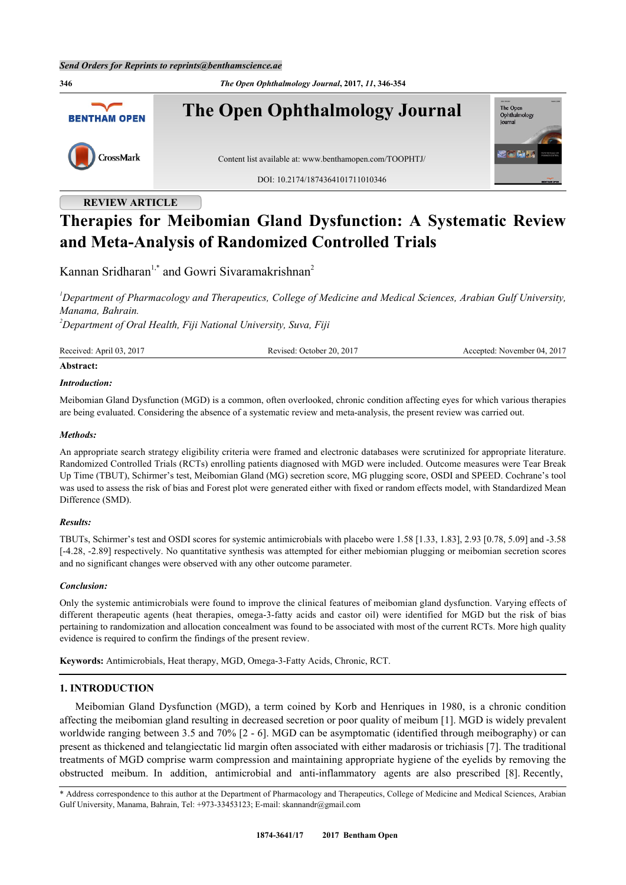**346** *The Open Ophthalmology Journal***, 2017,** *11***, 346-354 The Open Ophthalmology Journal** The Open<br>Ophthalm **BENTHAM OPEN** lournal CrossMark Content list available at: [www.benthamopen.com/TOOPHTJ/](http://www.benthamopen.com/TOOPHTJ/) DOI: [10.2174/1874364101711010346](http://dx.doi.org/10.2174/1874364101711010346)

## **REVIEW ARTICLE**

# **Therapies for Meibomian Gland Dysfunction: A Systematic Review and Meta-Analysis of Randomized Controlled Trials**

Kannan Sridharan<sup>[1,](#page-0-0)[\\*](#page-0-1)</sup> and Gowri Sivaramakrishnan<sup>[2](#page-0-2)</sup>

<span id="page-0-0"></span>*<sup>1</sup>Department of Pharmacology and Therapeutics, College of Medicine and Medical Sciences, Arabian Gulf University, Manama, Bahrain.*

<span id="page-0-2"></span>*<sup>2</sup>Department of Oral Health, Fiji National University, Suva, Fiji*

| Received: April 03, 2017 | Revised: October 20, 2017 | Accepted: November 04, 2017<br>. |
|--------------------------|---------------------------|----------------------------------|
|                          |                           |                                  |

#### **Abstract:**

## *Introduction:*

Meibomian Gland Dysfunction (MGD) is a common, often overlooked, chronic condition affecting eyes for which various therapies are being evaluated. Considering the absence of a systematic review and meta-analysis, the present review was carried out.

#### *Methods:*

An appropriate search strategy eligibility criteria were framed and electronic databases were scrutinized for appropriate literature. Randomized Controlled Trials (RCTs) enrolling patients diagnosed with MGD were included. Outcome measures were Tear Break Up Time (TBUT), Schirmer's test, Meibomian Gland (MG) secretion score, MG plugging score, OSDI and SPEED. Cochrane's tool was used to assess the risk of bias and Forest plot were generated either with fixed or random effects model, with Standardized Mean Difference (SMD).

## *Results:*

TBUTs, Schirmer's test and OSDI scores for systemic antimicrobials with placebo were 1.58 [1.33, 1.83], 2.93 [0.78, 5.09] and -3.58 [-4.28, -2.89] respectively. No quantitative synthesis was attempted for either mebiomian plugging or meibomian secretion scores and no significant changes were observed with any other outcome parameter.

## *Conclusion:*

Only the systemic antimicrobials were found to improve the clinical features of meibomian gland dysfunction. Varying effects of different therapeutic agents (heat therapies, omega-3-fatty acids and castor oil) were identified for MGD but the risk of bias pertaining to randomization and allocation concealment was found to be associated with most of the current RCTs. More high quality evidence is required to confirm the findings of the present review.

**Keywords:** Antimicrobials, Heat therapy, MGD, Omega-3-Fatty Acids, Chronic, RCT.

## **1. INTRODUCTION**

Meibomian Gland Dysfunction (MGD), a term coined by Korb and Henriques in 1980, is a chronic condition affecting the meibomian gland resulting in decreased secretion or poor quality of meibum [[1\]](#page-6-0). MGD is widely prevalent worldwide ranging between 3.5 and 70% [[2](#page-6-1) - [6\]](#page-6-2). MGD can be asymptomatic (identified through meibography) or can present as thickened and telangiectatic lid margin often associated with either madarosis or trichiasis [[7\]](#page-6-3). The traditional treatments of MGD comprise warm compression and maintaining appropriate hygiene of the eyelids by removing the obstructed meibum. In addition, antimicrobial and anti-inflammatory agents are also prescribed [\[8](#page-6-4)]. Recently,

<span id="page-0-1"></span><sup>\*</sup> Address correspondence to this author at the Department of Pharmacology and Therapeutics, College of Medicine and Medical Sciences, Arabian Gulf University, Manama, Bahrain, Tel: +973-33453123; E-mail: [skannandr@gmail.com](mailto:skannandr@gmail.com)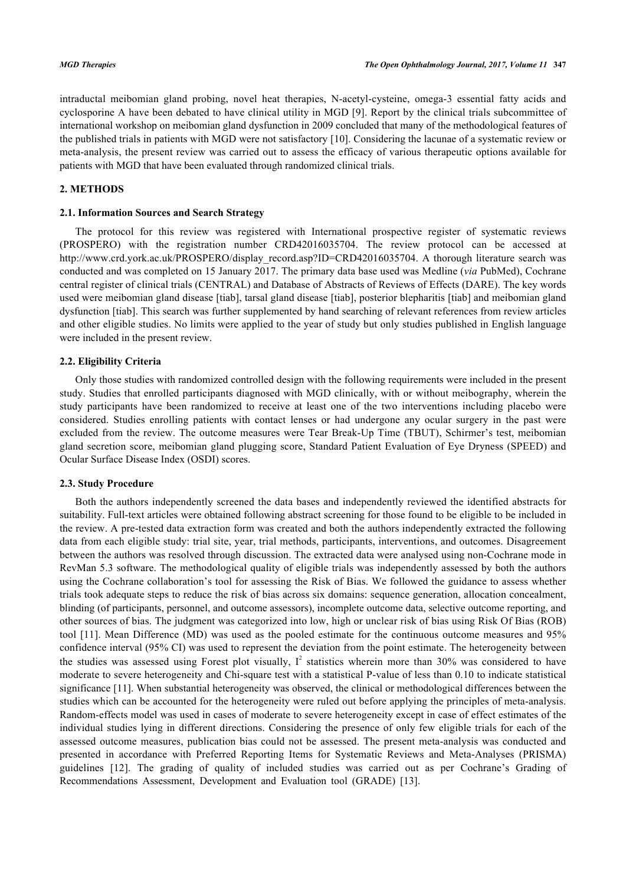intraductal meibomian gland probing, novel heat therapies, N-acetyl-cysteine, omega-3 essential fatty acids and cyclosporine A have been debated to have clinical utility in MGD [\[9](#page-6-5)]. Report by the clinical trials subcommittee of international workshop on meibomian gland dysfunction in 2009 concluded that many of the methodological features of the published trials in patients with MGD were not satisfactory [[10\]](#page-6-6). Considering the lacunae of a systematic review or meta-analysis, the present review was carried out to assess the efficacy of various therapeutic options available for patients with MGD that have been evaluated through randomized clinical trials.

## **2. METHODS**

## **2.1. Information Sources and Search Strategy**

The protocol for this review was registered with International prospective register of systematic reviews (PROSPERO) with the registration number CRD42016035704. The review protocol can be accessed at [http://www.crd.york.ac.uk/PROSPERO/display\\_record.asp?ID=CRD42016035704.](http://www.crd.york.ac.uk/PROSPERO/display_record.asp?ID=CRD42016035704) A thorough literature search was conducted and was completed on 15 January 2017. The primary data base used was Medline (*via* PubMed), Cochrane central register of clinical trials (CENTRAL) and Database of Abstracts of Reviews of Effects (DARE). The key words used were meibomian gland disease [tiab], tarsal gland disease [tiab], posterior blepharitis [tiab] and meibomian gland dysfunction [tiab]. This search was further supplemented by hand searching of relevant references from review articles and other eligible studies. No limits were applied to the year of study but only studies published in English language were included in the present review.

#### **2.2. Eligibility Criteria**

Only those studies with randomized controlled design with the following requirements were included in the present study. Studies that enrolled participants diagnosed with MGD clinically, with or without meibography, wherein the study participants have been randomized to receive at least one of the two interventions including placebo were considered. Studies enrolling patients with contact lenses or had undergone any ocular surgery in the past were excluded from the review. The outcome measures were Tear Break-Up Time (TBUT), Schirmer's test, meibomian gland secretion score, meibomian gland plugging score, Standard Patient Evaluation of Eye Dryness (SPEED) and Ocular Surface Disease Index (OSDI) scores.

## **2.3. Study Procedure**

Both the authors independently screened the data bases and independently reviewed the identified abstracts for suitability. Full-text articles were obtained following abstract screening for those found to be eligible to be included in the review. A pre-tested data extraction form was created and both the authors independently extracted the following data from each eligible study: trial site, year, trial methods, participants, interventions, and outcomes. Disagreement between the authors was resolved through discussion. The extracted data were analysed using non-Cochrane mode in RevMan 5.3 software. The methodological quality of eligible trials was independently assessed by both the authors using the Cochrane collaboration's tool for assessing the Risk of Bias. We followed the guidance to assess whether trials took adequate steps to reduce the risk of bias across six domains: sequence generation, allocation concealment, blinding (of participants, personnel, and outcome assessors), incomplete outcome data, selective outcome reporting, and other sources of bias. The judgment was categorized into low, high or unclear risk of bias using Risk Of Bias (ROB) tool [[11\]](#page-6-7). Mean Difference (MD) was used as the pooled estimate for the continuous outcome measures and 95% confidence interval (95% CI) was used to represent the deviation from the point estimate. The heterogeneity between the studies was assessed using Forest plot visually,  $I^2$  statistics wherein more than 30% was considered to have moderate to severe heterogeneity and Chi-square test with a statistical P-value of less than 0.10 to indicate statistical significance [\[11](#page-6-7)]. When substantial heterogeneity was observed, the clinical or methodological differences between the studies which can be accounted for the heterogeneity were ruled out before applying the principles of meta-analysis. Random-effects model was used in cases of moderate to severe heterogeneity except in case of effect estimates of the individual studies lying in different directions. Considering the presence of only few eligible trials for each of the assessed outcome measures, publication bias could not be assessed. The present meta-analysis was conducted and presented in accordance with Preferred Reporting Items for Systematic Reviews and Meta-Analyses (PRISMA) guidelines [\[12](#page-7-0)]. The grading of quality of included studies was carried out as per Cochrane's Grading of Recommendations Assessment, Development and Evaluation tool (GRADE)[[13\]](#page-7-1).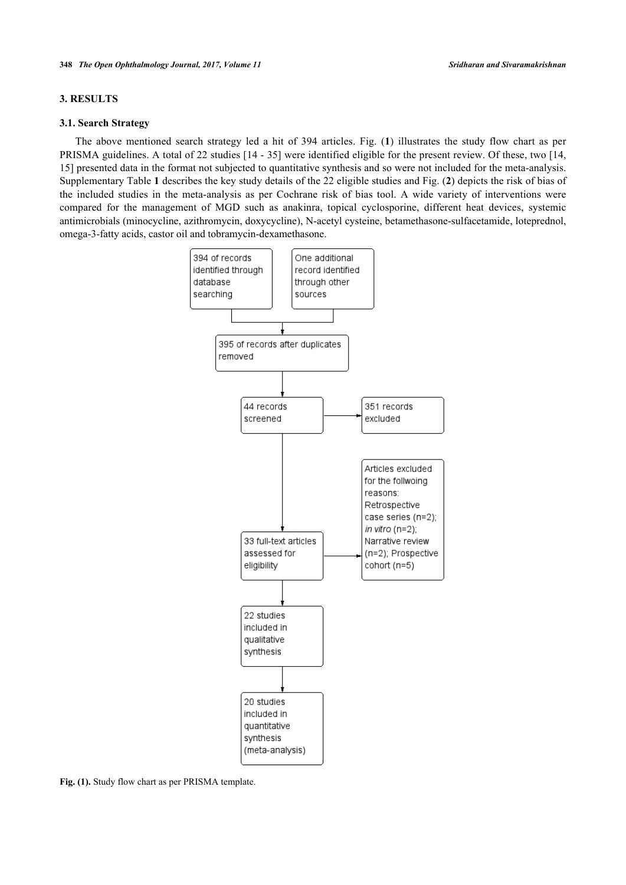## **3. RESULTS**

#### **3.1. Search Strategy**

<span id="page-2-0"></span>The above mentioned search strategy led a hit of 394 articles. Fig. (**[1](#page-2-0)**) illustrates the study flow chart as per PRISMA guidelines. A total of 22 studies [[14](#page-7-2) - [35](#page-8-0)] were identified eligible for the present review. Of these, two [[14](#page-7-2), [15\]](#page-7-3) presented data in the format not subjected to quantitative synthesis and so were not included for the meta-analysis. Supplementary Table **1** describes the key study details of the 22 eligible studies and Fig. (**[2](#page-2-1)**) depicts the risk of bias of the included studies in the meta-analysis as per Cochrane risk of bias tool. A wide variety of interventions were compared for the management of MGD such as anakinra, topical cyclosporine, different heat devices, systemic antimicrobials (minocycline, azithromycin, doxycycline), N-acetyl cysteine, betamethasone-sulfacetamide, loteprednol, omega-3-fatty acids, castor oil and tobramycin-dexamethasone.



<span id="page-2-1"></span>**Fig. (1).** Study flow chart as per PRISMA template.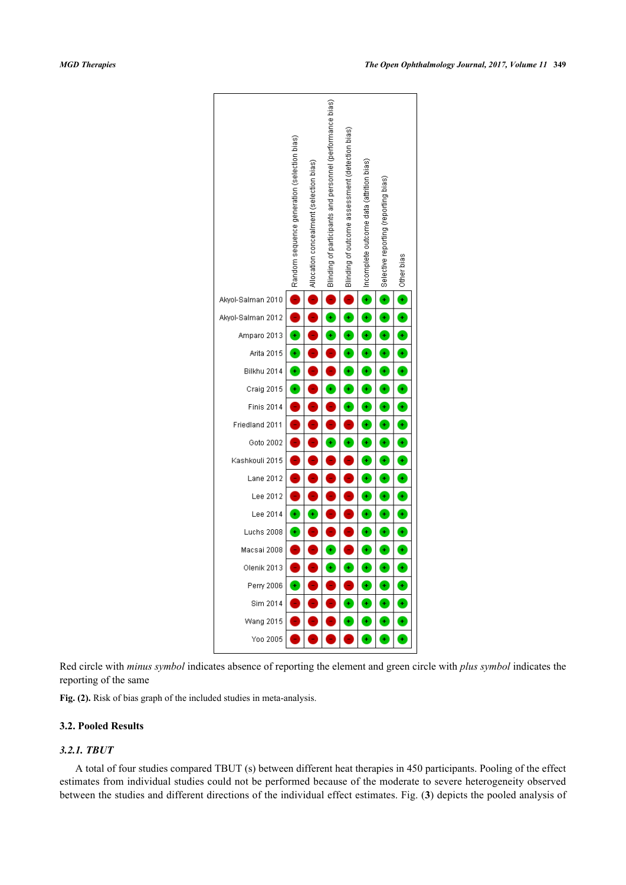

Red circle with *minus symbol* indicates absence of reporting the element and green circle with *plus symbol* indicates the reporting of the same

**Fig. (2).** Risk of bias graph of the included studies in meta-analysis.

## **3.2. Pooled Results**

## *3.2.1. TBUT*

A total of four studies compared TBUT (s) between different heat therapies in 450 participants. Pooling of the effect estimates from individual studies could not be performed because of the moderate to severe heterogeneity observed between the studies and different directions of the individual effect estimates. Fig. (**[3](#page-4-0)**) depicts the pooled analysis of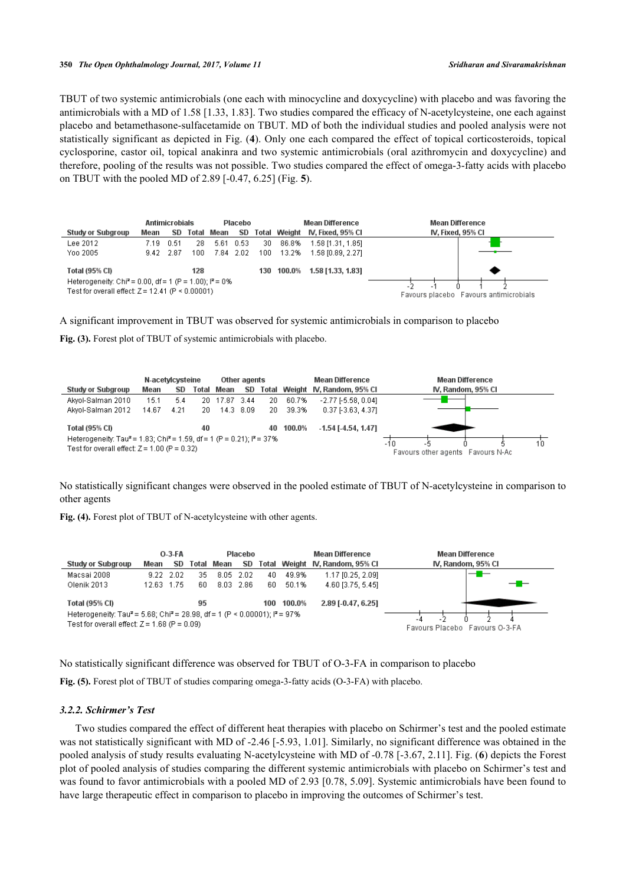TBUT of two systemic antimicrobials (one each with minocycline and doxycycline) with placebo and was favoring the antimicrobials with a MD of 1.58 [1.33, 1.83]. Two studies compared the efficacy of N-acetylcysteine, one each against placebo and betamethasone-sulfacetamide on TBUT. MD of both the individual studies and pooled analysis were not statistically significant as depicted in Fig. (**[4](#page-4-1)**). Only one each compared the effect of topical corticosteroids, topical cyclosporine, castor oil, topical anakinra and two systemic antimicrobials (oral azithromycin and doxycycline) and therefore, pooling of the results was not possible. Two studies compared the effect of omega-3-fatty acids with placebo on TBUT with the pooled MD of 2.89 [-0.47, 6.25] (Fig. **[5](#page-4-2)**).

<span id="page-4-0"></span>

|                                                                                                                            | <b>Antimicrobials</b><br>Placebo |             |       |                                        |           |    | Mean Difference | <b>Mean Difference</b>         |                   |
|----------------------------------------------------------------------------------------------------------------------------|----------------------------------|-------------|-------|----------------------------------------|-----------|----|-----------------|--------------------------------|-------------------|
| Study or Subgroup                                                                                                          | Mean                             | SD.         | Total | Mean                                   | SD        |    |                 | Total Weight IV, Fixed, 95% CI | IV, Fixed, 95% CI |
| Lee 2012                                                                                                                   | 7.19                             | 0.51        | 28    |                                        | 5.61 0.53 | 30 | 86.8%           | 1.58 [1.31, 1.85]              |                   |
| Yoo 2005                                                                                                                   |                                  | $9.42$ 2.87 | 100   |                                        | 7.84 2.02 |    | 100 13.2%       | 1.58 [0.89, 2.27]              |                   |
| Total (95% CI)                                                                                                             |                                  |             | 128   |                                        |           |    | 130 100.0%      | 1.58 [1.33, 1.83]              |                   |
| Heterogeneity: Chi <sup>2</sup> = 0.00, df = 1 (P = 1.00); $P = 0\%$<br>Test for overall effect: $Z = 12.41$ (P < 0.00001) |                                  |             |       | Favours placebo Favours antimicrobials |           |    |                 |                                |                   |

A significant improvement in TBUT was observed for systemic antimicrobials in comparison to placebo

Fig. (3). Forest plot of TBUT of systemic antimicrobials with placebo.

<span id="page-4-1"></span>

|                                                                                                | Other agents<br>N-acetylcysteine |           |     |            |           |     |        | <b>Mean Difference</b>          | <b>Mean Difference</b>            |
|------------------------------------------------------------------------------------------------|----------------------------------|-----------|-----|------------|-----------|-----|--------|---------------------------------|-----------------------------------|
| Study or Subgroup                                                                              | Mean                             | <b>SD</b> |     | Total Mean | <b>SD</b> |     |        | Total Weight IV, Random, 95% CI | IV, Random, 95% CI                |
| Akyol-Salman 2010                                                                              | 15.1.                            | 5.4       | 20. | 17.87      | - 3.44    | 20  | 60.7%  | $-2.77$ $[-5.58, 0.04]$         |                                   |
| Akyol-Salman 2012                                                                              | 14.67                            | 4.21      | 20. |            | 14.3 8.09 | 20. | 39.3%  | 0.37 [-3.63, 4.37]              |                                   |
| Total (95% CI)                                                                                 |                                  |           | 40  |            |           | 40  | 100.0% | $-1.54$ [ $-4.54$ , $1.47$ ]    |                                   |
| Heterogeneity: Tau <sup>2</sup> = 1.83; Chi <sup>2</sup> = 1.59, df = 1 (P = 0.21); $P = 37\%$ |                                  |           |     |            |           |     |        |                                 | 10<br>$-10$                       |
| Test for overall effect: $Z = 1.00$ (P = 0.32)                                                 |                                  |           |     |            |           |     |        |                                 | Favours other agents Favours N-Ac |

No statistically significant changes were observed in the pooled estimate of TBUT of N-acetylcysteine in comparison to other agents

**Fig. (4).** Forest plot of TBUT of N-acetylcysteine with other agents.

<span id="page-4-2"></span>

|                                                                                                    | $O-3-FA$<br>Placebo |           |     |            |           |     |        | <b>Mean Difference</b>          | <b>Mean Difference</b>         |
|----------------------------------------------------------------------------------------------------|---------------------|-----------|-----|------------|-----------|-----|--------|---------------------------------|--------------------------------|
| Study or Subgroup                                                                                  | Mean                | SD        |     | Total Mean | SD        |     |        | Total Weight IV, Random, 95% CI | IV. Random, 95% CI             |
| Macsai 2008                                                                                        |                     | 9.22 2.02 | 35  | 8.05       | 2.02      | 40  | 49.9%  | 1.17 [0.25, 2.09]               | _<br>__                        |
| Olenik 2013                                                                                        | 12.63 1.75          |           | 6N. |            | 8.03 2.86 | 60. | 50.1%  | 4.60 (3.75, 5.45)               | $-$ H $-$                      |
| Total (95% CI)                                                                                     |                     |           | 95  |            |           | 100 | 100.0% | 2.89 [-0.47, 6.25]              |                                |
| Heterogeneity: Tau <sup>2</sup> = 5.68; Chi <sup>2</sup> = 28.98, df = 1 (P < 0.00001); $P = 97\%$ |                     |           |     |            |           |     |        |                                 |                                |
| Test for overall effect: $Z = 1.68$ (P = 0.09)                                                     |                     |           |     |            |           |     |        |                                 | Favours Placebo Favours O-3-FA |

No statistically significant difference was observed for TBUT of O-3-FA in comparison to placebo

Fig. (5). Forest plot of TBUT of studies comparing omega-3-fatty acids (O-3-FA) with placebo.

## *3.2.2. Schirmer's Test*

<span id="page-4-3"></span>Two studies compared the effect of different heat therapies with placebo on Schirmer's test and the pooled estimate was not statistically significant with MD of -2.46 [-5.93, 1.01]. Similarly, no significant difference was obtained in the pooled analysis of study results evaluating N-acetylcysteine with MD of -0.78 [-3.67, 2.11]. Fig. (**[6](#page-4-3)**) depicts the Forest plot of pooled analysis of studies comparing the different systemic antimicrobials with placebo on Schirmer's test and was found to favor antimicrobials with a pooled MD of 2.93 [0.78, 5.09]. Systemic antimicrobials have been found to have large therapeutic effect in comparison to placebo in improving the outcomes of Schirmer's test.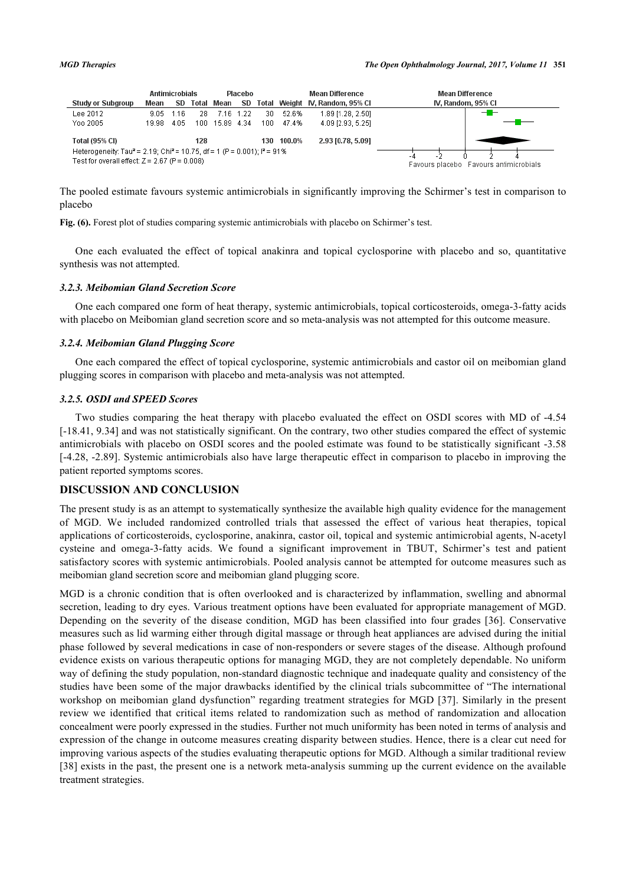|                                                                                                                                                               | <b>Antimicrobials</b><br>Placebo |      |      |            |       |     | <b>Mean Difference</b> | Mean Difference                 |                                        |
|---------------------------------------------------------------------------------------------------------------------------------------------------------------|----------------------------------|------|------|------------|-------|-----|------------------------|---------------------------------|----------------------------------------|
| Study or Subgroup                                                                                                                                             | Mean                             | SD.  |      | Total Mean | SD.   |     |                        | Total Weight IV. Random, 95% Cl | IV, Random, 95% CI                     |
| Lee 2012                                                                                                                                                      | 9.05.                            | 116  | 28   | 716        | 1.22  | 30  | 52.6%                  | 1.89 [1.28, 2.50]               | --                                     |
| Yoo 2005                                                                                                                                                      | 19.98                            | 4.05 | 100. | 15.89      | -4.34 | 100 | 47.4%                  | 4.09 [2.93, 5.25]               |                                        |
| <b>Total (95% CI)</b>                                                                                                                                         |                                  |      | 128  |            |       |     | 130 100.0%             | 2.93 [0.78, 5.09]               |                                        |
| Heterogeneity: Tau <sup>2</sup> = 2.19; Chi <sup>2</sup> = 10.75, df = 1 (P = 0.001); i <sup>2</sup> = 91%<br>Test for overall effect: $Z = 2.67$ (P = 0.008) |                                  |      |      |            |       |     |                        |                                 |                                        |
|                                                                                                                                                               |                                  |      |      |            |       |     |                        |                                 | Favours placebo Favours antimicrobials |

The pooled estimate favours systemic antimicrobials in significantly improving the Schirmer's test in comparison to placebo

**Fig. (6).** Forest plot of studies comparing systemic antimicrobials with placebo on Schirmer's test.

One each evaluated the effect of topical anakinra and topical cyclosporine with placebo and so, quantitative synthesis was not attempted.

#### *3.2.3. Meibomian Gland Secretion Score*

One each compared one form of heat therapy, systemic antimicrobials, topical corticosteroids, omega-3-fatty acids with placebo on Meibomian gland secretion score and so meta-analysis was not attempted for this outcome measure.

#### *3.2.4. Meibomian Gland Plugging Score*

One each compared the effect of topical cyclosporine, systemic antimicrobials and castor oil on meibomian gland plugging scores in comparison with placebo and meta-analysis was not attempted.

## *3.2.5. OSDI and SPEED Scores*

Two studies comparing the heat therapy with placebo evaluated the effect on OSDI scores with MD of -4.54 [-18.41, 9.34] and was not statistically significant. On the contrary, two other studies compared the effect of systemic antimicrobials with placebo on OSDI scores and the pooled estimate was found to be statistically significant -3.58 [-4.28, -2.89]. Systemic antimicrobials also have large therapeutic effect in comparison to placebo in improving the patient reported symptoms scores.

## **DISCUSSION AND CONCLUSION**

The present study is as an attempt to systematically synthesize the available high quality evidence for the management of MGD. We included randomized controlled trials that assessed the effect of various heat therapies, topical applications of corticosteroids, cyclosporine, anakinra, castor oil, topical and systemic antimicrobial agents, N-acetyl cysteine and omega-3-fatty acids. We found a significant improvement in TBUT, Schirmer's test and patient satisfactory scores with systemic antimicrobials. Pooled analysis cannot be attempted for outcome measures such as meibomian gland secretion score and meibomian gland plugging score.

MGD is a chronic condition that is often overlooked and is characterized by inflammation, swelling and abnormal secretion, leading to dry eyes. Various treatment options have been evaluated for appropriate management of MGD. Depending on the severity of the disease condition, MGD has been classified into four grades [[36\]](#page-8-1). Conservative measures such as lid warming either through digital massage or through heat appliances are advised during the initial phase followed by several medications in case of non-responders or severe stages of the disease. Although profound evidence exists on various therapeutic options for managing MGD, they are not completely dependable. No uniform way of defining the study population, non-standard diagnostic technique and inadequate quality and consistency of the studies have been some of the major drawbacks identified by the clinical trials subcommittee of "The international workshop on meibomian gland dysfunction" regarding treatment strategies for MGD [[37](#page-8-2)]. Similarly in the present review we identified that critical items related to randomization such as method of randomization and allocation concealment were poorly expressed in the studies. Further not much uniformity has been noted in terms of analysis and expression of the change in outcome measures creating disparity between studies. Hence, there is a clear cut need for improving various aspects of the studies evaluating therapeutic options for MGD. Although a similar traditional review [\[38](#page-8-3)] exists in the past, the present one is a network meta-analysis summing up the current evidence on the available treatment strategies.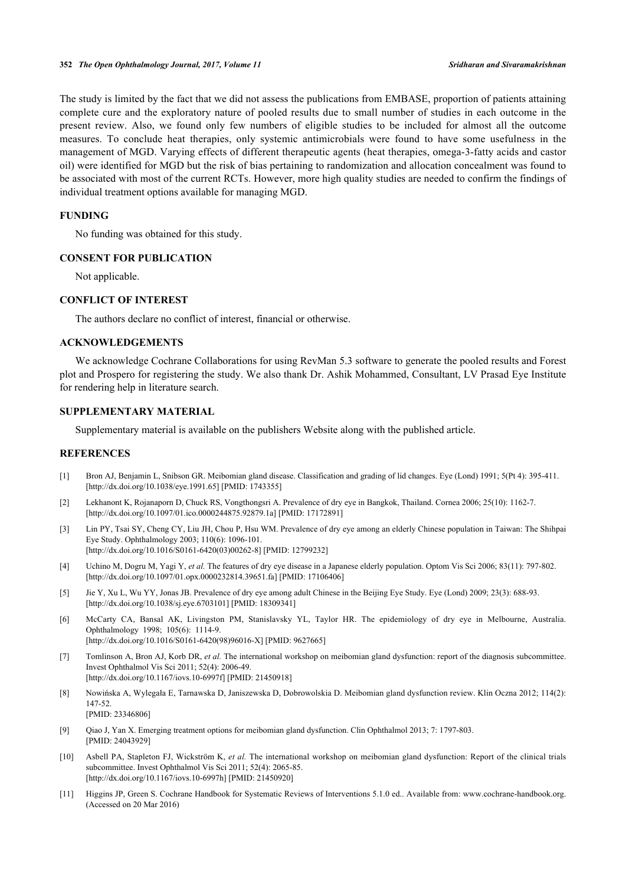The study is limited by the fact that we did not assess the publications from EMBASE, proportion of patients attaining complete cure and the exploratory nature of pooled results due to small number of studies in each outcome in the present review. Also, we found only few numbers of eligible studies to be included for almost all the outcome measures. To conclude heat therapies, only systemic antimicrobials were found to have some usefulness in the management of MGD. Varying effects of different therapeutic agents (heat therapies, omega-3-fatty acids and castor oil) were identified for MGD but the risk of bias pertaining to randomization and allocation concealment was found to be associated with most of the current RCTs. However, more high quality studies are needed to confirm the findings of individual treatment options available for managing MGD.

## **FUNDING**

No funding was obtained for this study.

## **CONSENT FOR PUBLICATION**

Not applicable.

#### **CONFLICT OF INTEREST**

The authors declare no conflict of interest, financial or otherwise.

## **ACKNOWLEDGEMENTS**

We acknowledge Cochrane Collaborations for using RevMan 5.3 software to generate the pooled results and Forest plot and Prospero for registering the study. We also thank Dr. Ashik Mohammed, Consultant, LV Prasad Eye Institute for rendering help in literature search.

## **SUPPLEMENTARY MATERIAL**

Supplementary material is available on the publishers Website along with the published article.

#### **REFERENCES**

- <span id="page-6-0"></span>[1] Bron AJ, Benjamin L, Snibson GR. Meibomian gland disease. Classification and grading of lid changes. Eye (Lond) 1991; 5(Pt 4): 395-411. [\[http://dx.doi.org/10.1038/eye.1991.65\]](http://dx.doi.org/10.1038/eye.1991.65) [PMID: [1743355](http://www.ncbi.nlm.nih.gov/pubmed/1743355)]
- <span id="page-6-1"></span>[2] Lekhanont K, Rojanaporn D, Chuck RS, Vongthongsri A. Prevalence of dry eye in Bangkok, Thailand. Cornea 2006; 25(10): 1162-7. [\[http://dx.doi.org/10.1097/01.ico.0000244875.92879.1a](http://dx.doi.org/10.1097/01.ico.0000244875.92879.1a)] [PMID: [17172891\]](http://www.ncbi.nlm.nih.gov/pubmed/17172891)
- [3] Lin PY, Tsai SY, Cheng CY, Liu JH, Chou P, Hsu WM. Prevalence of dry eye among an elderly Chinese population in Taiwan: The Shihpai Eye Study. Ophthalmology 2003; 110(6): 1096-101. [\[http://dx.doi.org/10.1016/S0161-6420\(03\)00262-8\]](http://dx.doi.org/10.1016/S0161-6420(03)00262-8) [PMID: [12799232](http://www.ncbi.nlm.nih.gov/pubmed/12799232)]
- [4] Uchino M, Dogru M, Yagi Y, *et al.* The features of dry eye disease in a Japanese elderly population. Optom Vis Sci 2006; 83(11): 797-802. [\[http://dx.doi.org/10.1097/01.opx.0000232814.39651.fa](http://dx.doi.org/10.1097/01.opx.0000232814.39651.fa)] [PMID: [17106406\]](http://www.ncbi.nlm.nih.gov/pubmed/17106406)
- [5] Jie Y, Xu L, Wu YY, Jonas JB. Prevalence of dry eye among adult Chinese in the Beijing Eye Study. Eye (Lond) 2009; 23(3): 688-93. [\[http://dx.doi.org/10.1038/sj.eye.6703101](http://dx.doi.org/10.1038/sj.eye.6703101)] [PMID: [18309341\]](http://www.ncbi.nlm.nih.gov/pubmed/18309341)
- <span id="page-6-2"></span>[6] McCarty CA, Bansal AK, Livingston PM, Stanislavsky YL, Taylor HR. The epidemiology of dry eye in Melbourne, Australia. Ophthalmology 1998; 105(6): 1114-9. [\[http://dx.doi.org/10.1016/S0161-6420\(98\)96016-X\]](http://dx.doi.org/10.1016/S0161-6420(98)96016-X) [PMID: [9627665](http://www.ncbi.nlm.nih.gov/pubmed/9627665)]
- <span id="page-6-3"></span>[7] Tomlinson A, Bron AJ, Korb DR, *et al.* The international workshop on meibomian gland dysfunction: report of the diagnosis subcommittee. Invest Ophthalmol Vis Sci 2011; 52(4): 2006-49. [\[http://dx.doi.org/10.1167/iovs.10-6997f](http://dx.doi.org/10.1167/iovs.10-6997f)] [PMID: [21450918](http://www.ncbi.nlm.nih.gov/pubmed/21450918)]
- <span id="page-6-4"></span>[8] Nowińska A, Wylegała E, Tarnawska D, Janiszewska D, Dobrowolskia D. Meibomian gland dysfunction review. Klin Oczna 2012; 114(2): 147-52. [PMID: [23346806\]](http://www.ncbi.nlm.nih.gov/pubmed/23346806)
- <span id="page-6-5"></span>[9] Qiao J, Yan X. Emerging treatment options for meibomian gland dysfunction. Clin Ophthalmol 2013; 7: 1797-803. [PMID: [24043929\]](http://www.ncbi.nlm.nih.gov/pubmed/24043929)
- <span id="page-6-6"></span>[10] Asbell PA, Stapleton FJ, Wickström K, *et al.* The international workshop on meibomian gland dysfunction: Report of the clinical trials subcommittee. Invest Ophthalmol Vis Sci 2011; 52(4): 2065-85. [\[http://dx.doi.org/10.1167/iovs.10-6997h\]](http://dx.doi.org/10.1167/iovs.10-6997h) [PMID: [21450920](http://www.ncbi.nlm.nih.gov/pubmed/21450920)]
- <span id="page-6-7"></span>[11] Higgins JP, Green S. Cochrane Handbook for Systematic Reviews of Interventions 5.1.0 ed.. Available from: [www.cochrane-handbook.org.](http://www.cochrane-handbook.org) (Accessed on 20 Mar 2016)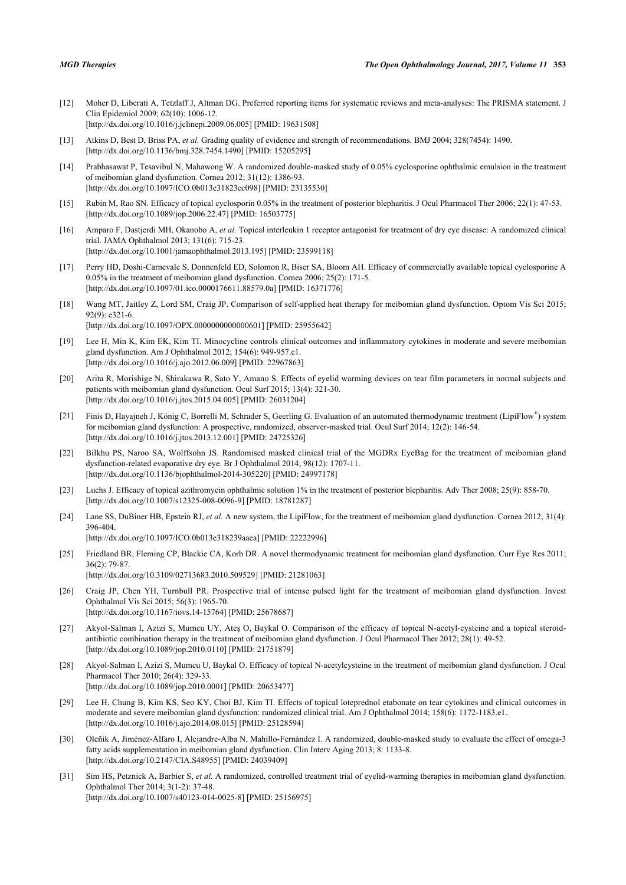- <span id="page-7-0"></span>[12] Moher D, Liberati A, Tetzlaff J, Altman DG. Preferred reporting items for systematic reviews and meta-analyses: The PRISMA statement. J Clin Epidemiol 2009; 62(10): 1006-12. [\[http://dx.doi.org/10.1016/j.jclinepi.2009.06.005](http://dx.doi.org/10.1016/j.jclinepi.2009.06.005)] [PMID: [19631508\]](http://www.ncbi.nlm.nih.gov/pubmed/19631508)
- <span id="page-7-1"></span>[13] Atkins D, Best D, Briss PA, *et al.* Grading quality of evidence and strength of recommendations. BMJ 2004; 328(7454): 1490. [\[http://dx.doi.org/10.1136/bmj.328.7454.1490](http://dx.doi.org/10.1136/bmj.328.7454.1490)] [PMID: [15205295\]](http://www.ncbi.nlm.nih.gov/pubmed/15205295)
- <span id="page-7-2"></span>[14] Prabhasawat P, Tesavibul N, Mahawong W. A randomized double-masked study of 0.05% cyclosporine ophthalmic emulsion in the treatment of meibomian gland dysfunction. Cornea 2012; 31(12): 1386-93. [\[http://dx.doi.org/10.1097/ICO.0b013e31823cc098](http://dx.doi.org/10.1097/ICO.0b013e31823cc098)] [PMID: [23135530\]](http://www.ncbi.nlm.nih.gov/pubmed/23135530)
- <span id="page-7-3"></span>[15] Rubin M, Rao SN. Efficacy of topical cyclosporin 0.05% in the treatment of posterior blepharitis. J Ocul Pharmacol Ther 2006; 22(1): 47-53. [\[http://dx.doi.org/10.1089/jop.2006.22.47](http://dx.doi.org/10.1089/jop.2006.22.47)] [PMID: [16503775\]](http://www.ncbi.nlm.nih.gov/pubmed/16503775)
- [16] Amparo F, Dastjerdi MH, Okanobo A, *et al.* Topical interleukin 1 receptor antagonist for treatment of dry eye disease: A randomized clinical trial. JAMA Ophthalmol 2013; 131(6): 715-23. [\[http://dx.doi.org/10.1001/jamaophthalmol.2013.195\]](http://dx.doi.org/10.1001/jamaophthalmol.2013.195) [PMID: [23599118](http://www.ncbi.nlm.nih.gov/pubmed/23599118)]
- [17] Perry HD, Doshi-Carnevale S, Donnenfeld ED, Solomon R, Biser SA, Bloom AH. Efficacy of commercially available topical cyclosporine A 0.05% in the treatment of meibomian gland dysfunction. Cornea 2006; 25(2): 171-5. [\[http://dx.doi.org/10.1097/01.ico.0000176611.88579.0a](http://dx.doi.org/10.1097/01.ico.0000176611.88579.0a)] [PMID: [16371776\]](http://www.ncbi.nlm.nih.gov/pubmed/16371776)
- [18] Wang MT, Jaitley Z, Lord SM, Craig JP. Comparison of self-applied heat therapy for meibomian gland dysfunction. Optom Vis Sci 2015; 92(9): e321-6. [\[http://dx.doi.org/10.1097/OPX.0000000000000601\]](http://dx.doi.org/10.1097/OPX.0000000000000601) [PMID: [25955642](http://www.ncbi.nlm.nih.gov/pubmed/25955642)]
- [19] Lee H, Min K, Kim EK, Kim TI. Minocycline controls clinical outcomes and inflammatory cytokines in moderate and severe meibomian gland dysfunction. Am J Ophthalmol 2012; 154(6): 949-957.e1. [\[http://dx.doi.org/10.1016/j.ajo.2012.06.009\]](http://dx.doi.org/10.1016/j.ajo.2012.06.009) [PMID: [22967863](http://www.ncbi.nlm.nih.gov/pubmed/22967863)]
- [20] Arita R, Morishige N, Shirakawa R, Sato Y, Amano S. Effects of eyelid warming devices on tear film parameters in normal subjects and patients with meibomian gland dysfunction. Ocul Surf 2015; 13(4): 321-30. [\[http://dx.doi.org/10.1016/j.jtos.2015.04.005\]](http://dx.doi.org/10.1016/j.jtos.2015.04.005) [PMID: [26031204](http://www.ncbi.nlm.nih.gov/pubmed/26031204)]
- [21] Finis D, Hayajneh J, König C, Borrelli M, Schrader S, Geerling G. Evaluation of an automated thermodynamic treatment (LipiFlow®) system for meibomian gland dysfunction: A prospective, randomized, observer-masked trial. Ocul Surf 2014; 12(2): 146-54. [\[http://dx.doi.org/10.1016/j.jtos.2013.12.001\]](http://dx.doi.org/10.1016/j.jtos.2013.12.001) [PMID: [24725326](http://www.ncbi.nlm.nih.gov/pubmed/24725326)]
- [22] Bilkhu PS, Naroo SA, Wolffsohn JS. Randomised masked clinical trial of the MGDRx EyeBag for the treatment of meibomian gland dysfunction-related evaporative dry eye. Br J Ophthalmol 2014; 98(12): 1707-11. [\[http://dx.doi.org/10.1136/bjophthalmol-2014-305220\]](http://dx.doi.org/10.1136/bjophthalmol-2014-305220) [PMID: [24997178](http://www.ncbi.nlm.nih.gov/pubmed/24997178)]
- [23] Luchs J. Efficacy of topical azithromycin ophthalmic solution 1% in the treatment of posterior blepharitis. Adv Ther 2008; 25(9): 858-70. [\[http://dx.doi.org/10.1007/s12325-008-0096-9\]](http://dx.doi.org/10.1007/s12325-008-0096-9) [PMID: [18781287](http://www.ncbi.nlm.nih.gov/pubmed/18781287)]
- [24] Lane SS, DuBiner HB, Epstein RJ, *et al.* A new system, the LipiFlow, for the treatment of meibomian gland dysfunction. Cornea 2012; 31(4): 396-404.
	- [\[http://dx.doi.org/10.1097/ICO.0b013e318239aaea](http://dx.doi.org/10.1097/ICO.0b013e318239aaea)] [PMID: [22222996\]](http://www.ncbi.nlm.nih.gov/pubmed/22222996)
- [25] Friedland BR, Fleming CP, Blackie CA, Korb DR. A novel thermodynamic treatment for meibomian gland dysfunction. Curr Eye Res 2011; 36(2): 79-87. [\[http://dx.doi.org/10.3109/02713683.2010.509529\]](http://dx.doi.org/10.3109/02713683.2010.509529) [PMID: [21281063](http://www.ncbi.nlm.nih.gov/pubmed/21281063)]
- [26] Craig JP, Chen YH, Turnbull PR. Prospective trial of intense pulsed light for the treatment of meibomian gland dysfunction. Invest Ophthalmol Vis Sci 2015; 56(3): 1965-70. [\[http://dx.doi.org/10.1167/iovs.14-15764\]](http://dx.doi.org/10.1167/iovs.14-15764) [PMID: [25678687](http://www.ncbi.nlm.nih.gov/pubmed/25678687)]
- [27] Akyol-Salman I, Azizi S, Mumcu UY, Ateş O, Baykal O. Comparison of the efficacy of topical N-acetyl-cysteine and a topical steroidantibiotic combination therapy in the treatment of meibomian gland dysfunction. J Ocul Pharmacol Ther 2012; 28(1): 49-52. [\[http://dx.doi.org/10.1089/jop.2010.0110](http://dx.doi.org/10.1089/jop.2010.0110)] [PMID: [21751879\]](http://www.ncbi.nlm.nih.gov/pubmed/21751879)
- [28] Akyol-Salman I, Azizi S, Mumcu U, Baykal O. Efficacy of topical N-acetylcysteine in the treatment of meibomian gland dysfunction. J Ocul Pharmacol Ther 2010; 26(4): 329-33. [\[http://dx.doi.org/10.1089/jop.2010.0001](http://dx.doi.org/10.1089/jop.2010.0001)] [PMID: [20653477\]](http://www.ncbi.nlm.nih.gov/pubmed/20653477)
- [29] Lee H, Chung B, Kim KS, Seo KY, Choi BJ, Kim TI. Effects of topical loteprednol etabonate on tear cytokines and clinical outcomes in moderate and severe meibomian gland dysfunction: randomized clinical trial. Am J Ophthalmol 2014; 158(6): 1172-1183.e1. [\[http://dx.doi.org/10.1016/j.ajo.2014.08.015\]](http://dx.doi.org/10.1016/j.ajo.2014.08.015) [PMID: [25128594](http://www.ncbi.nlm.nih.gov/pubmed/25128594)]
- [30] Oleñik A, Jiménez-Alfaro I, Alejandre-Alba N, Mahillo-Fernández I. A randomized, double-masked study to evaluate the effect of omega-3 fatty acids supplementation in meibomian gland dysfunction. Clin Interv Aging 2013; 8: 1133-8. [\[http://dx.doi.org/10.2147/CIA.S48955](http://dx.doi.org/10.2147/CIA.S48955)] [PMID: [24039409\]](http://www.ncbi.nlm.nih.gov/pubmed/24039409)
- [31] Sim HS, Petznick A, Barbier S, *et al.* A randomized, controlled treatment trial of eyelid-warming therapies in meibomian gland dysfunction. Ophthalmol Ther 2014; 3(1-2): 37-48. [\[http://dx.doi.org/10.1007/s40123-014-0025-8\]](http://dx.doi.org/10.1007/s40123-014-0025-8) [PMID: [25156975](http://www.ncbi.nlm.nih.gov/pubmed/25156975)]